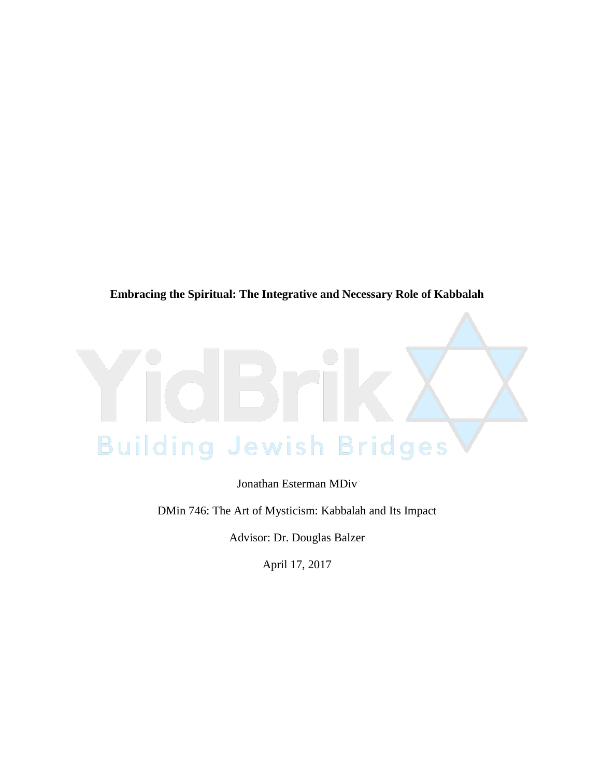# **Embracing the Spiritual: The Integrative and Necessary Role of Kabbalah**



Jonathan Esterman MDiv

DMin 746: The Art of Mysticism: Kabbalah and Its Impact

Advisor: Dr. Douglas Balzer

April 17, 2017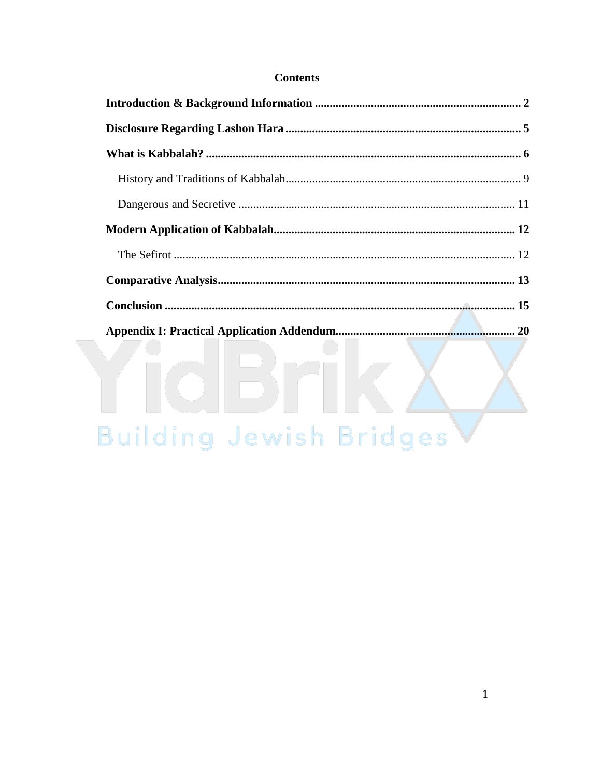# **Contents**

| Building Jewish Bridges |
|-------------------------|

# Building Jewish Bridges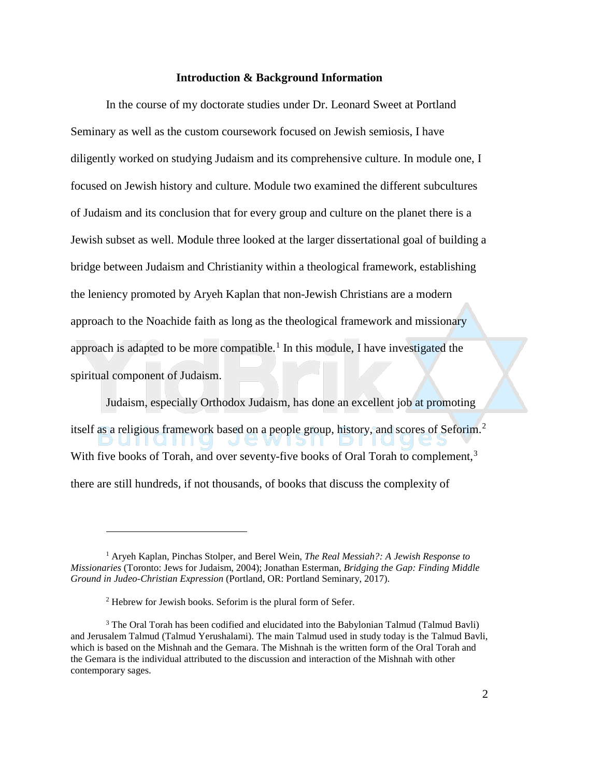#### **Introduction & Background Information**

In the course of my doctorate studies under Dr. Leonard Sweet at Portland Seminary as well as the custom coursework focused on Jewish semiosis, I have diligently worked on studying Judaism and its comprehensive culture. In module one, I focused on Jewish history and culture. Module two examined the different subcultures of Judaism and its conclusion that for every group and culture on the planet there is a Jewish subset as well. Module three looked at the larger dissertational goal of building a bridge between Judaism and Christianity within a theological framework, establishing the leniency promoted by Aryeh Kaplan that non-Jewish Christians are a modern approach to the Noachide faith as long as the theological framework and missionary approach is adapted to be more compatible.<sup>[1](#page-2-0)</sup> In this module, I have investigated the spiritual component of Judaism.

Judaism, especially Orthodox Judaism, has done an excellent job at promoting

itself as a religious framework based on a people group, history, and scores of Seforim. [2](#page-2-1) UI II UI II II J,  $||S||$ With five books of Torah, and over seventy-five books of Oral Torah to complement,<sup>[3](#page-2-2)</sup>

there are still hundreds, if not thousands, of books that discuss the complexity of

<span id="page-2-0"></span><sup>1</sup> Aryeh Kaplan, Pinchas Stolper, and Berel Wein, *The Real Messiah?: A Jewish Response to Missionaries* (Toronto: Jews for Judaism, 2004); Jonathan Esterman, *Bridging the Gap: Finding Middle Ground in Judeo-Christian Expression* (Portland, OR: Portland Seminary, 2017).

<sup>2</sup> Hebrew for Jewish books. Seforim is the plural form of Sefer.

<span id="page-2-2"></span><span id="page-2-1"></span><sup>&</sup>lt;sup>3</sup> The Oral Torah has been codified and elucidated into the Babylonian Talmud (Talmud Bavli) and Jerusalem Talmud (Talmud Yerushalami). The main Talmud used in study today is the Talmud Bavli, which is based on the Mishnah and the Gemara. The Mishnah is the written form of the Oral Torah and the Gemara is the individual attributed to the discussion and interaction of the Mishnah with other contemporary sages.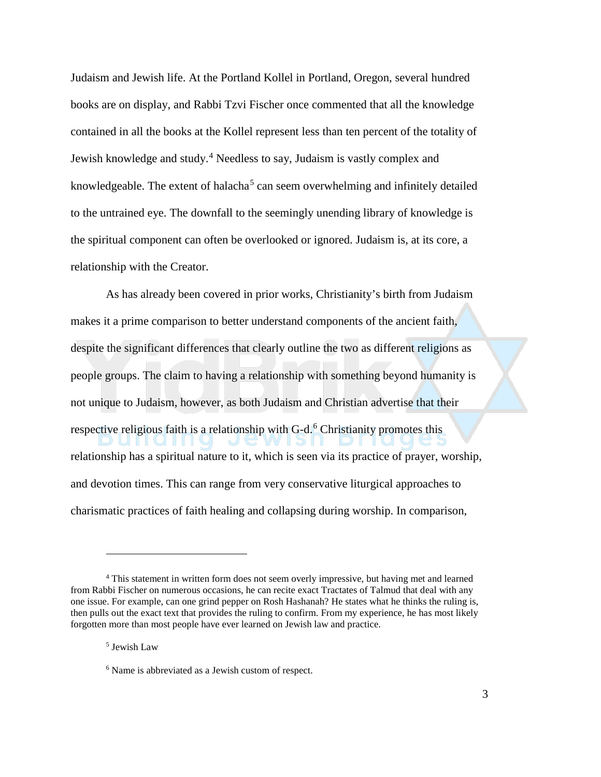Judaism and Jewish life. At the Portland Kollel in Portland, Oregon, several hundred books are on display, and Rabbi Tzvi Fischer once commented that all the knowledge contained in all the books at the Kollel represent less than ten percent of the totality of Jewish knowledge and study.[4](#page-3-0) Needless to say, Judaism is vastly complex and knowledgeable. The extent of halacha<sup>[5](#page-3-1)</sup> can seem overwhelming and infinitely detailed to the untrained eye. The downfall to the seemingly unending library of knowledge is the spiritual component can often be overlooked or ignored. Judaism is, at its core, a relationship with the Creator.

As has already been covered in prior works, Christianity's birth from Judaism makes it a prime comparison to better understand components of the ancient faith, despite the significant differences that clearly outline the two as different religions as people groups. The claim to having a relationship with something beyond humanity is not unique to Judaism, however, as both Judaism and Christian advertise that their

respective religious faith is a relationship with  $G-d<sup>6</sup>$  $G-d<sup>6</sup>$  $G-d<sup>6</sup>$  Christianity promotes this

relationship has a spiritual nature to it, which is seen via its practice of prayer, worship, and devotion times. This can range from very conservative liturgical approaches to charismatic practices of faith healing and collapsing during worship. In comparison,

<span id="page-3-1"></span><span id="page-3-0"></span><sup>4</sup> This statement in written form does not seem overly impressive, but having met and learned from Rabbi Fischer on numerous occasions, he can recite exact Tractates of Talmud that deal with any one issue. For example, can one grind pepper on Rosh Hashanah? He states what he thinks the ruling is, then pulls out the exact text that provides the ruling to confirm. From my experience, he has most likely forgotten more than most people have ever learned on Jewish law and practice.

<sup>5</sup> Jewish Law

<span id="page-3-2"></span><sup>6</sup> Name is abbreviated as a Jewish custom of respect.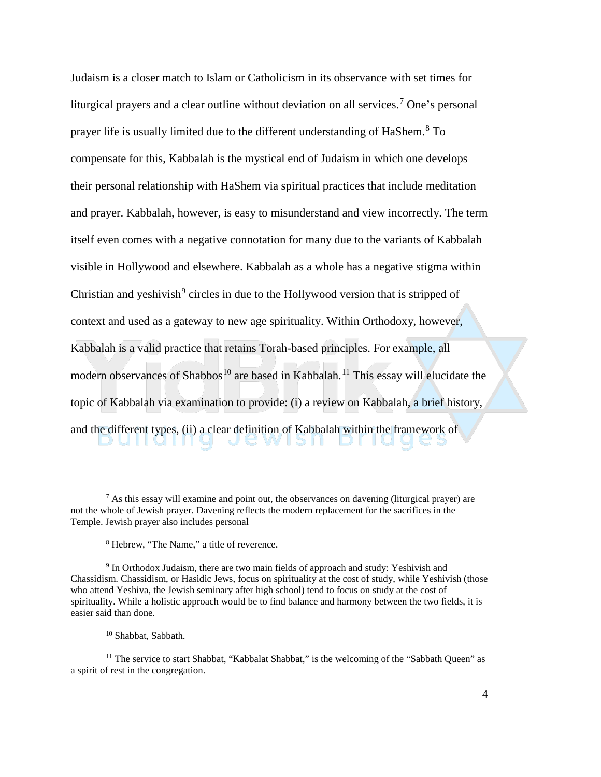Judaism is a closer match to Islam or Catholicism in its observance with set times for liturgical prayers and a clear outline without deviation on all services.<sup>[7](#page-4-0)</sup> One's personal prayer life is usually limited due to the different understanding of HaShem.[8](#page-4-1) To compensate for this, Kabbalah is the mystical end of Judaism in which one develops their personal relationship with HaShem via spiritual practices that include meditation and prayer. Kabbalah, however, is easy to misunderstand and view incorrectly. The term itself even comes with a negative connotation for many due to the variants of Kabbalah visible in Hollywood and elsewhere. Kabbalah as a whole has a negative stigma within Christian and yeshivish $9$  circles in due to the Hollywood version that is stripped of context and used as a gateway to new age spirituality. Within Orthodoxy, however, Kabbalah is a valid practice that retains Torah-based principles. For example, all modern observances of Shabbos<sup>[10](#page-4-3)</sup> are based in Kabbalah.<sup>[11](#page-4-4)</sup> This essay will elucidate the topic of Kabbalah via examination to provide: (i) a review on Kabbalah, a brief history, and the different types, (ii) a clear definition of Kabbalah within the framework of JU WUSILDIL

<span id="page-4-0"></span> $<sup>7</sup>$  As this essay will examine and point out, the observances on davening (liturgical prayer) are</sup> not the whole of Jewish prayer. Davening reflects the modern replacement for the sacrifices in the Temple. Jewish prayer also includes personal

<sup>8</sup> Hebrew, "The Name," a title of reverence.

<span id="page-4-2"></span><span id="page-4-1"></span><sup>&</sup>lt;sup>9</sup> In Orthodox Judaism, there are two main fields of approach and study: Yeshivish and Chassidism. Chassidism, or Hasidic Jews, focus on spirituality at the cost of study, while Yeshivish (those who attend Yeshiva, the Jewish seminary after high school) tend to focus on study at the cost of spirituality. While a holistic approach would be to find balance and harmony between the two fields, it is easier said than done.

<sup>10</sup> Shabbat, Sabbath.

<span id="page-4-4"></span><span id="page-4-3"></span><sup>&</sup>lt;sup>11</sup> The service to start Shabbat, "Kabbalat Shabbat," is the welcoming of the "Sabbath Queen" as a spirit of rest in the congregation.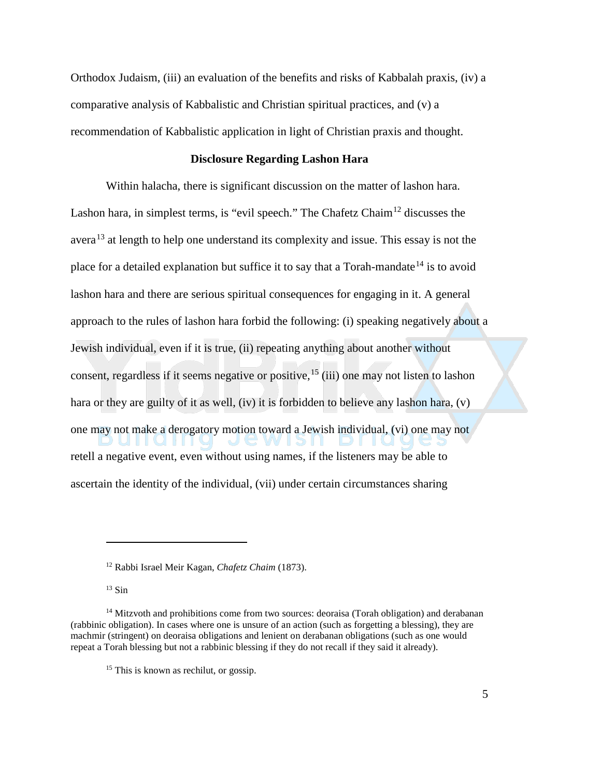Orthodox Judaism, (iii) an evaluation of the benefits and risks of Kabbalah praxis, (iv) a comparative analysis of Kabbalistic and Christian spiritual practices, and (v) a recommendation of Kabbalistic application in light of Christian praxis and thought.

#### **Disclosure Regarding Lashon Hara**

Within halacha, there is significant discussion on the matter of lashon hara. Lashon hara, in simplest terms, is "evil speech." The Chafetz Chaim<sup>[12](#page-5-0)</sup> discusses the avera<sup>[13](#page-5-1)</sup> at length to help one understand its complexity and issue. This essay is not the place for a detailed explanation but suffice it to say that a Torah-mandate<sup>[14](#page-5-2)</sup> is to avoid lashon hara and there are serious spiritual consequences for engaging in it. A general approach to the rules of lashon hara forbid the following: (i) speaking negatively about a Jewish individual, even if it is true, (ii) repeating anything about another without consent, regardless if it seems negative or positive, [15](#page-5-3) (iii) one may not listen to lashon hara or they are guilty of it as well, (iv) it is forbidden to believe any lashon hara, (v) one may not make a derogatory motion toward a Jewish individual, (vi) one may not  $511$  $\Box$ retell a negative event, even without using names, if the listeners may be able to ascertain the identity of the individual, (vii) under certain circumstances sharing

<sup>12</sup> Rabbi Israel Meir Kagan, *Chafetz Chaim* (1873).

 $13$  Sin

<span id="page-5-3"></span><span id="page-5-2"></span><span id="page-5-1"></span><span id="page-5-0"></span> $14$  Mitzvoth and prohibitions come from two sources: deoraisa (Torah obligation) and derabanan (rabbinic obligation). In cases where one is unsure of an action (such as forgetting a blessing), they are machmir (stringent) on deoraisa obligations and lenient on derabanan obligations (such as one would repeat a Torah blessing but not a rabbinic blessing if they do not recall if they said it already).

<sup>&</sup>lt;sup>15</sup> This is known as rechilut, or gossip.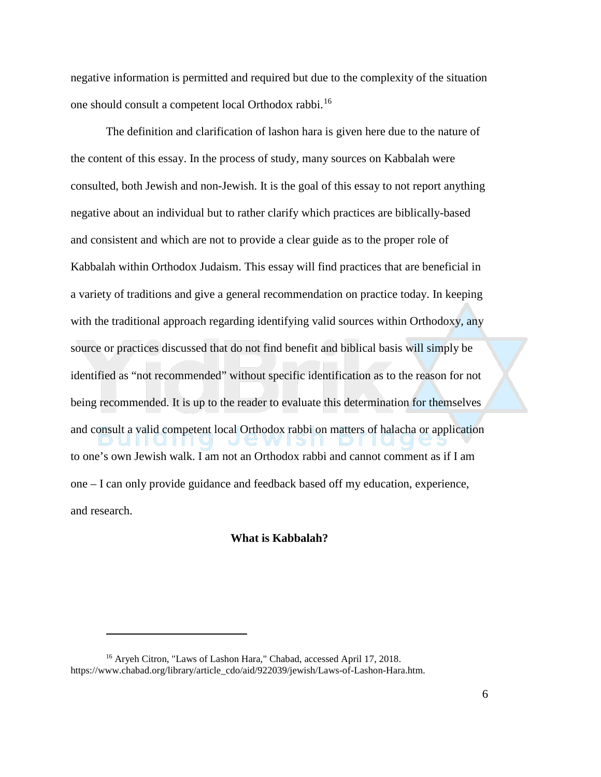negative information is permitted and required but due to the complexity of the situation one should consult a competent local Orthodox rabbi.[16](#page-6-0)

The definition and clarification of lashon hara is given here due to the nature of the content of this essay. In the process of study, many sources on Kabbalah were consulted, both Jewish and non-Jewish. It is the goal of this essay to not report anything negative about an individual but to rather clarify which practices are biblically-based and consistent and which are not to provide a clear guide as to the proper role of Kabbalah within Orthodox Judaism. This essay will find practices that are beneficial in a variety of traditions and give a general recommendation on practice today. In keeping with the traditional approach regarding identifying valid sources within Orthodoxy, any source or practices discussed that do not find benefit and biblical basis will simply be identified as "not recommended" without specific identification as to the reason for not being recommended. It is up to the reader to evaluate this determination for themselves and consult a valid competent local Orthodox rabbi on matters of halacha or application to one's own Jewish walk. I am not an Orthodox rabbi and cannot comment as if I am one – I can only provide guidance and feedback based off my education, experience, and research.

#### **What is Kabbalah?**

<span id="page-6-0"></span><sup>&</sup>lt;sup>16</sup> Aryeh Citron, "Laws of Lashon Hara," Chabad, accessed April 17, 2018. https://www.chabad.org/library/article\_cdo/aid/922039/jewish/Laws-of-Lashon-Hara.htm.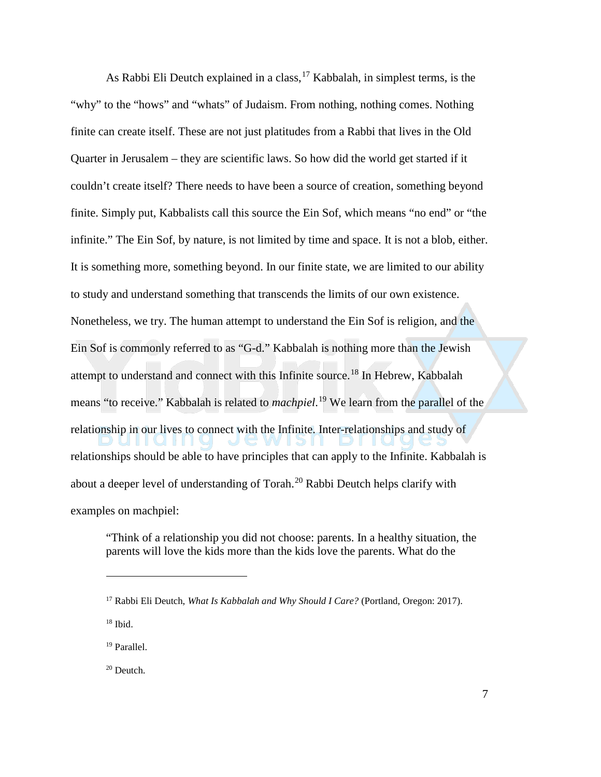As Rabbi Eli Deutch explained in a class,  $17$  Kabbalah, in simplest terms, is the "why" to the "hows" and "whats" of Judaism. From nothing, nothing comes. Nothing finite can create itself. These are not just platitudes from a Rabbi that lives in the Old Quarter in Jerusalem – they are scientific laws. So how did the world get started if it couldn't create itself? There needs to have been a source of creation, something beyond finite. Simply put, Kabbalists call this source the Ein Sof, which means "no end" or "the infinite." The Ein Sof, by nature, is not limited by time and space. It is not a blob, either. It is something more, something beyond. In our finite state, we are limited to our ability to study and understand something that transcends the limits of our own existence. Nonetheless, we try. The human attempt to understand the Ein Sof is religion, and the Ein Sof is commonly referred to as "G-d." Kabbalah is nothing more than the Jewish attempt to understand and connect with this Infinite source.[18](#page-7-1) In Hebrew, Kabbalah means "to receive." Kabbalah is related to *machpiel*. [19](#page-7-2) We learn from the parallel of the relationship in our lives to connect with the Infinite. Inter-relationships and study of relationships should be able to have principles that can apply to the Infinite. Kabbalah is about a deeper level of understanding of Torah.[20](#page-7-3) Rabbi Deutch helps clarify with examples on machpiel:

"Think of a relationship you did not choose: parents. In a healthy situation, the parents will love the kids more than the kids love the parents. What do the

<span id="page-7-1"></span><sup>18</sup> Ibid.

 $\overline{a}$ 

<span id="page-7-2"></span><sup>19</sup> Parallel.

<span id="page-7-3"></span><sup>20</sup> Deutch.

<span id="page-7-0"></span><sup>17</sup> Rabbi Eli Deutch, *What Is Kabbalah and Why Should I Care?* (Portland, Oregon: 2017).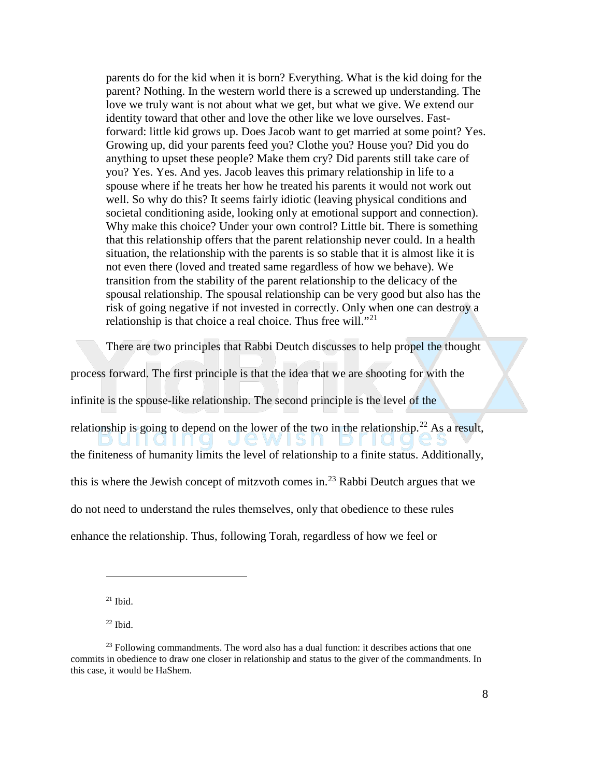parents do for the kid when it is born? Everything. What is the kid doing for the parent? Nothing. In the western world there is a screwed up understanding. The love we truly want is not about what we get, but what we give. We extend our identity toward that other and love the other like we love ourselves. Fastforward: little kid grows up. Does Jacob want to get married at some point? Yes. Growing up, did your parents feed you? Clothe you? House you? Did you do anything to upset these people? Make them cry? Did parents still take care of you? Yes. Yes. And yes. Jacob leaves this primary relationship in life to a spouse where if he treats her how he treated his parents it would not work out well. So why do this? It seems fairly idiotic (leaving physical conditions and societal conditioning aside, looking only at emotional support and connection). Why make this choice? Under your own control? Little bit. There is something that this relationship offers that the parent relationship never could. In a health situation, the relationship with the parents is so stable that it is almost like it is not even there (loved and treated same regardless of how we behave). We transition from the stability of the parent relationship to the delicacy of the spousal relationship. The spousal relationship can be very good but also has the risk of going negative if not invested in correctly. Only when one can destroy a relationship is that choice a real choice. Thus free will. $"^{21}$  $"^{21}$  $"^{21}$ 

There are two principles that Rabbi Deutch discusses to help propel the thought

process forward. The first principle is that the idea that we are shooting for with the

infinite is the spouse-like relationship. The second principle is the level of the

relationship is going to depend on the lower of the two in the relationship.<sup>[22](#page-8-1)</sup> As a result,  $\mathsf{D}\,\mathsf{U}\,\mathsf{I}\,\mathsf{I}\,\mathsf{Q}\,\mathsf{I}\,\mathsf{I}\,\mathsf{I}\,\mathsf{Q}\,\mathsf{I}$ JEWISH DIIQ

the finiteness of humanity limits the level of relationship to a finite status. Additionally,

this is where the Jewish concept of mitzvoth comes in.<sup>[23](#page-8-2)</sup> Rabbi Deutch argues that we

do not need to understand the rules themselves, only that obedience to these rules

enhance the relationship. Thus, following Torah, regardless of how we feel or

 $21$  Ibid.

 $22$  Ibid.

<span id="page-8-2"></span><span id="page-8-1"></span><span id="page-8-0"></span> $23$  Following commandments. The word also has a dual function: it describes actions that one commits in obedience to draw one closer in relationship and status to the giver of the commandments. In this case, it would be HaShem.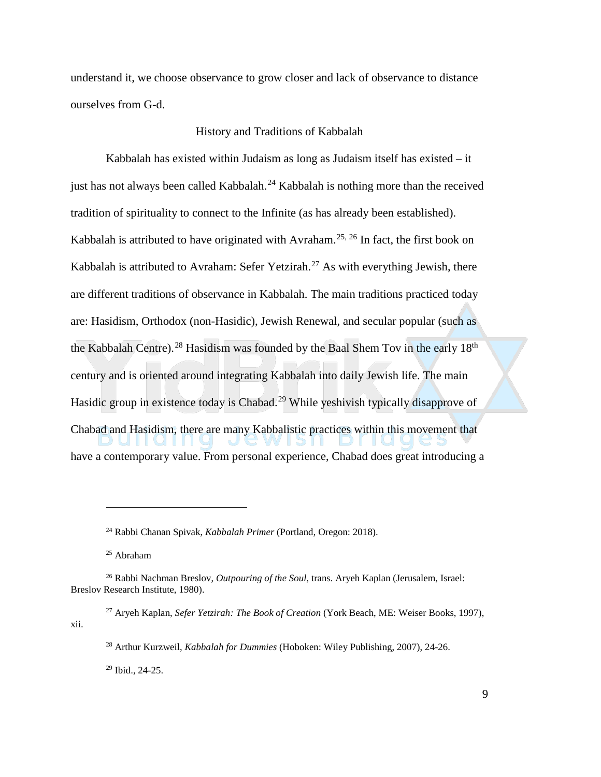understand it, we choose observance to grow closer and lack of observance to distance ourselves from G-d.

### History and Traditions of Kabbalah

Kabbalah has existed within Judaism as long as Judaism itself has existed – it just has not always been called Kabbalah. $^{24}$  $^{24}$  $^{24}$  Kabbalah is nothing more than the received tradition of spirituality to connect to the Infinite (as has already been established). Kabbalah is attributed to have originated with Avraham.<sup>[25](#page-9-1), [26](#page-9-2)</sup> In fact, the first book on Kabbalah is attributed to Avraham: Sefer Yetzirah.<sup>[27](#page-9-3)</sup> As with everything Jewish, there are different traditions of observance in Kabbalah. The main traditions practiced today are: Hasidism, Orthodox (non-Hasidic), Jewish Renewal, and secular popular (such as the Kabbalah Centre).<sup>[28](#page-9-4)</sup> Hasidism was founded by the Baal Shem Toy in the early 18<sup>th</sup> century and is oriented around integrating Kabbalah into daily Jewish life. The main Hasidic group in existence today is Chabad.<sup>[29](#page-9-5)</sup> While yeshivish typically disapprove of Chabad and Hasidism, there are many Kabbalistic practices within this movement that have a contemporary value. From personal experience, Chabad does great introducing a

 $\overline{a}$ 

<span id="page-9-5"></span><span id="page-9-4"></span><span id="page-9-3"></span><sup>27</sup> Aryeh Kaplan, *Sefer Yetzirah: The Book of Creation* (York Beach, ME: Weiser Books, 1997), xii.

<sup>29</sup> Ibid., 24-25.

<sup>24</sup> Rabbi Chanan Spivak, *Kabbalah Primer* (Portland, Oregon: 2018).

<sup>25</sup> Abraham

<span id="page-9-2"></span><span id="page-9-1"></span><span id="page-9-0"></span><sup>26</sup> Rabbi Nachman Breslov, *Outpouring of the Soul*, trans. Aryeh Kaplan (Jerusalem, Israel: Breslov Research Institute, 1980).

<sup>28</sup> Arthur Kurzweil, *Kabbalah for Dummies* (Hoboken: Wiley Publishing, 2007), 24-26.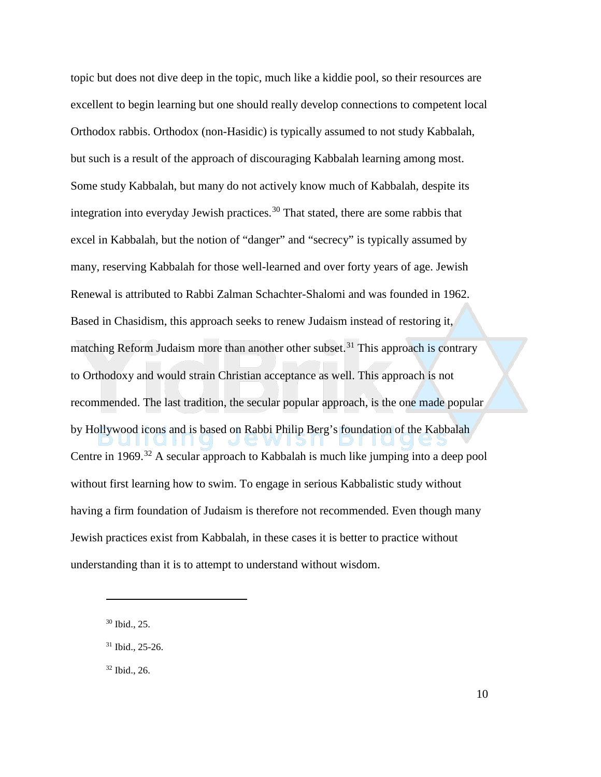topic but does not dive deep in the topic, much like a kiddie pool, so their resources are excellent to begin learning but one should really develop connections to competent local Orthodox rabbis. Orthodox (non-Hasidic) is typically assumed to not study Kabbalah, but such is a result of the approach of discouraging Kabbalah learning among most. Some study Kabbalah, but many do not actively know much of Kabbalah, despite its integration into everyday Jewish practices.<sup>[30](#page-10-0)</sup> That stated, there are some rabbis that excel in Kabbalah, but the notion of "danger" and "secrecy" is typically assumed by many, reserving Kabbalah for those well-learned and over forty years of age. Jewish Renewal is attributed to Rabbi Zalman Schachter-Shalomi and was founded in 1962. Based in Chasidism, this approach seeks to renew Judaism instead of restoring it, matching Reform Judaism more than another other subset.<sup>[31](#page-10-1)</sup> This approach is contrary to Orthodoxy and would strain Christian acceptance as well. This approach is not recommended. The last tradition, the secular popular approach, is the one made popular by Hollywood icons and is based on Rabbi Philip Berg's foundation of the Kabbalah Centre in 1969.<sup>[32](#page-10-2)</sup> A secular approach to Kabbalah is much like jumping into a deep pool without first learning how to swim. To engage in serious Kabbalistic study without having a firm foundation of Judaism is therefore not recommended. Even though many Jewish practices exist from Kabbalah, in these cases it is better to practice without understanding than it is to attempt to understand without wisdom.

<span id="page-10-0"></span><sup>30</sup> Ibid., 25.

<span id="page-10-1"></span><sup>31</sup> Ibid., 25-26.

<span id="page-10-2"></span><sup>32</sup> Ibid., 26.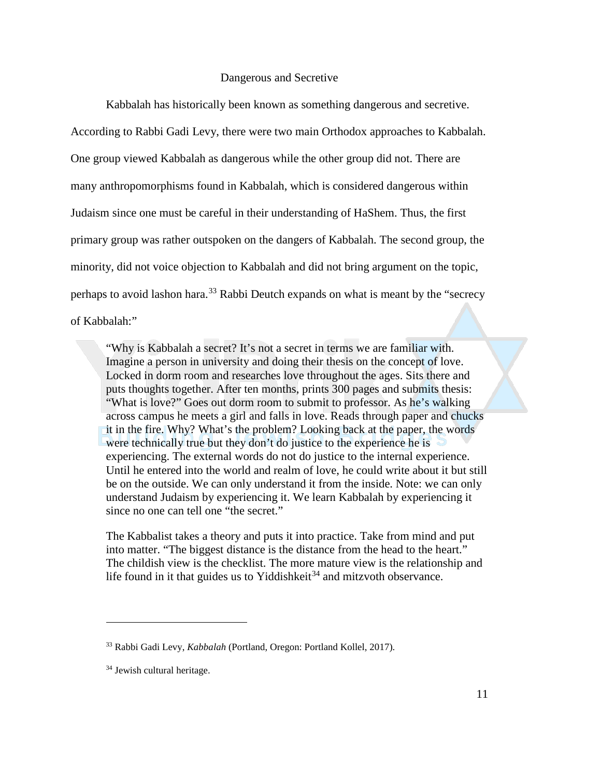#### Dangerous and Secretive

Kabbalah has historically been known as something dangerous and secretive.

According to Rabbi Gadi Levy, there were two main Orthodox approaches to Kabbalah. One group viewed Kabbalah as dangerous while the other group did not. There are many anthropomorphisms found in Kabbalah, which is considered dangerous within Judaism since one must be careful in their understanding of HaShem. Thus, the first primary group was rather outspoken on the dangers of Kabbalah. The second group, the minority, did not voice objection to Kabbalah and did not bring argument on the topic, perhaps to avoid lashon hara.<sup>[33](#page-11-0)</sup> Rabbi Deutch expands on what is meant by the "secrecy" of Kabbalah:"

"Why is Kabbalah a secret? It's not a secret in terms we are familiar with. Imagine a person in university and doing their thesis on the concept of love. Locked in dorm room and researches love throughout the ages. Sits there and puts thoughts together. After ten months, prints 300 pages and submits thesis: "What is love?" Goes out dorm room to submit to professor. As he's walking across campus he meets a girl and falls in love. Reads through paper and chucks it in the fire. Why? What's the problem? Looking back at the paper, the words were technically true but they don't do justice to the experience he is experiencing. The external words do not do justice to the internal experience. Until he entered into the world and realm of love, he could write about it but still be on the outside. We can only understand it from the inside. Note: we can only understand Judaism by experiencing it. We learn Kabbalah by experiencing it since no one can tell one "the secret."

The Kabbalist takes a theory and puts it into practice. Take from mind and put into matter. "The biggest distance is the distance from the head to the heart." The childish view is the checklist. The more mature view is the relationship and life found in it that guides us to Yiddishkeit<sup>[34](#page-11-1)</sup> and mitzvoth observance.

<span id="page-11-0"></span><sup>33</sup> Rabbi Gadi Levy, *Kabbalah* (Portland, Oregon: Portland Kollel, 2017).

<span id="page-11-1"></span><sup>34</sup> Jewish cultural heritage.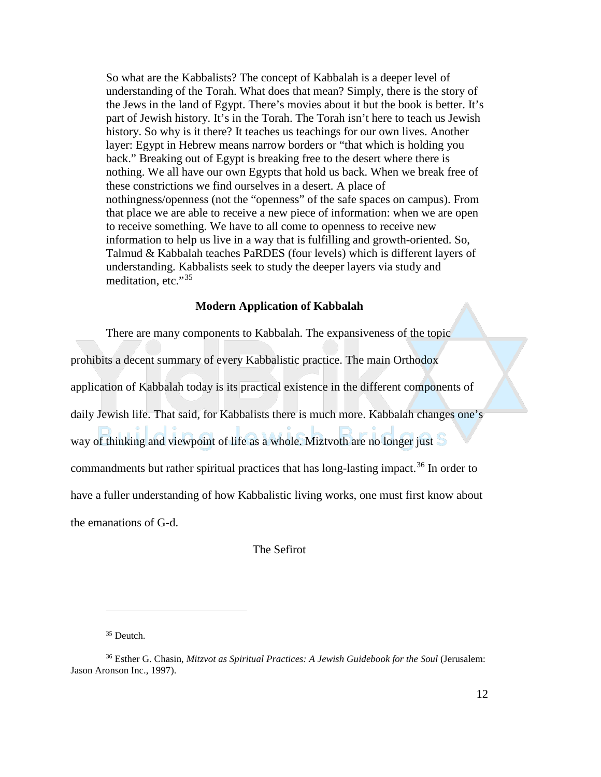So what are the Kabbalists? The concept of Kabbalah is a deeper level of understanding of the Torah. What does that mean? Simply, there is the story of the Jews in the land of Egypt. There's movies about it but the book is better. It's part of Jewish history. It's in the Torah. The Torah isn't here to teach us Jewish history. So why is it there? It teaches us teachings for our own lives. Another layer: Egypt in Hebrew means narrow borders or "that which is holding you back." Breaking out of Egypt is breaking free to the desert where there is nothing. We all have our own Egypts that hold us back. When we break free of these constrictions we find ourselves in a desert. A place of nothingness/openness (not the "openness" of the safe spaces on campus). From that place we are able to receive a new piece of information: when we are open to receive something. We have to all come to openness to receive new information to help us live in a way that is fulfilling and growth-oriented. So, Talmud & Kabbalah teaches PaRDES (four levels) which is different layers of understanding. Kabbalists seek to study the deeper layers via study and meditation, etc."[35](#page-12-0)

#### **Modern Application of Kabbalah**

There are many components to Kabbalah. The expansiveness of the topic prohibits a decent summary of every Kabbalistic practice. The main Orthodox application of Kabbalah today is its practical existence in the different components of daily Jewish life. That said, for Kabbalists there is much more. Kabbalah changes one's way of thinking and viewpoint of life as a whole. Miztvoth are no longer just S commandments but rather spiritual practices that has long-lasting impact.<sup>[36](#page-12-1)</sup> In order to have a fuller understanding of how Kabbalistic living works, one must first know about the emanations of G-d.

The Sefirot

<sup>&</sup>lt;sup>35</sup> Deutch.

<span id="page-12-1"></span><span id="page-12-0"></span><sup>36</sup> Esther G. Chasin, *Mitzvot as Spiritual Practices: A Jewish Guidebook for the Soul* (Jerusalem: Jason Aronson Inc., 1997).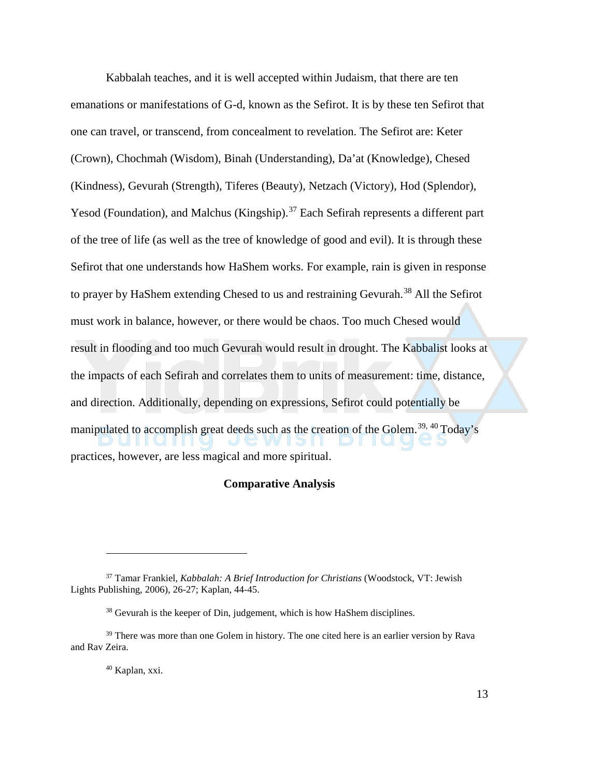Kabbalah teaches, and it is well accepted within Judaism, that there are ten emanations or manifestations of G-d, known as the Sefirot. It is by these ten Sefirot that one can travel, or transcend, from concealment to revelation. The Sefirot are: Keter (Crown), Chochmah (Wisdom), Binah (Understanding), Da'at (Knowledge), Chesed (Kindness), Gevurah (Strength), Tiferes (Beauty), Netzach (Victory), Hod (Splendor), Yesod (Foundation), and Malchus (Kingship).<sup>[37](#page-13-0)</sup> Each Sefirah represents a different part of the tree of life (as well as the tree of knowledge of good and evil). It is through these Sefirot that one understands how HaShem works. For example, rain is given in response to prayer by HaShem extending Chesed to us and restraining Gevurah.<sup>[38](#page-13-1)</sup> All the Sefirot must work in balance, however, or there would be chaos. Too much Chesed would result in flooding and too much Gevurah would result in drought. The Kabbalist looks at the impacts of each Sefirah and correlates them to units of measurement: time, distance, and direction. Additionally, depending on expressions, Sefirot could potentially be manipulated to accomplish great deeds such as the creation of the Golem.<sup>[39,](#page-13-2) [40](#page-13-3)</sup> Today's  $\bigcup$ practices, however, are less magical and more spiritual.

#### **Comparative Analysis**

<sup>40</sup> Kaplan, xxi.

<span id="page-13-0"></span><sup>37</sup> Tamar Frankiel, *Kabbalah: A Brief Introduction for Christians* (Woodstock, VT: Jewish Lights Publishing, 2006), 26-27; Kaplan, 44-45.

 $38$  Gevurah is the keeper of Din, judgement, which is how HaShem disciplines.

<span id="page-13-3"></span><span id="page-13-2"></span><span id="page-13-1"></span><sup>&</sup>lt;sup>39</sup> There was more than one Golem in history. The one cited here is an earlier version by Rava and Rav Zeira.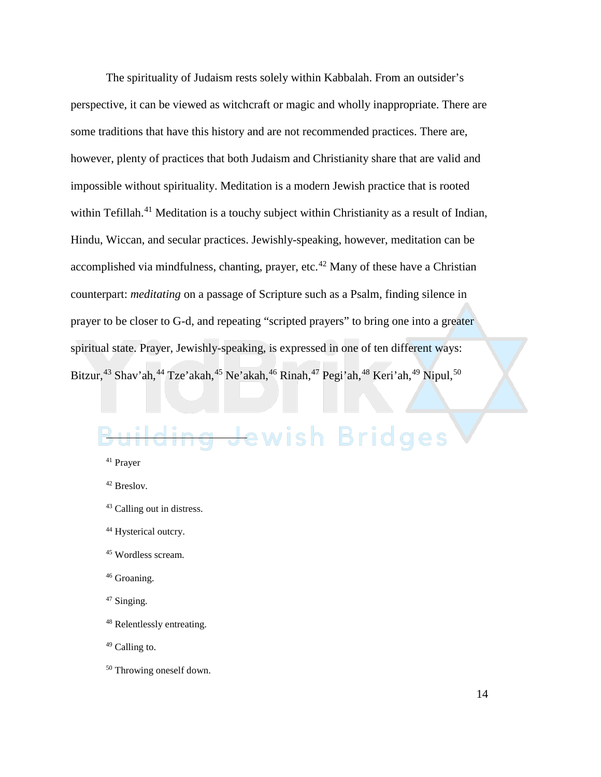The spirituality of Judaism rests solely within Kabbalah. From an outsider's perspective, it can be viewed as witchcraft or magic and wholly inappropriate. There are some traditions that have this history and are not recommended practices. There are, however, plenty of practices that both Judaism and Christianity share that are valid and impossible without spirituality. Meditation is a modern Jewish practice that is rooted within Tefillah.<sup>[41](#page-14-0)</sup> Meditation is a touchy subject within Christianity as a result of Indian, Hindu, Wiccan, and secular practices. Jewishly-speaking, however, meditation can be accomplished via mindfulness, chanting, prayer, etc. $42$  Many of these have a Christian counterpart: *meditating* on a passage of Scripture such as a Psalm, finding silence in prayer to be closer to G-d, and repeating "scripted prayers" to bring one into a greater spiritual state. Prayer, Jewishly-speaking, is expressed in one of ten different ways: Bitzur,<sup>[43](#page-14-2)</sup> Shav'ah,<sup>[44](#page-14-3)</sup> Tze'akah,<sup>[45](#page-14-4)</sup> Ne'akah,<sup>[46](#page-14-5)</sup> Rinah,<sup>[47](#page-14-6)</sup> Pegi'ah,<sup>[48](#page-14-7)</sup> Keri'ah,<sup>[49](#page-14-8)</sup> Nipul,<sup>[50](#page-14-9)</sup>

## <span id="page-14-0"></span>g Jewish Bridges  $\overline{a}$

- <span id="page-14-4"></span><sup>45</sup> Wordless scream.
- <span id="page-14-5"></span><sup>46</sup> Groaning.
- <span id="page-14-6"></span><sup>47</sup> Singing.
- <span id="page-14-7"></span><sup>48</sup> Relentlessly entreating.
- <span id="page-14-8"></span><sup>49</sup> Calling to.
- <span id="page-14-9"></span><sup>50</sup> Throwing oneself down.

<sup>41</sup> Prayer

<span id="page-14-1"></span><sup>42</sup> Breslov.

<span id="page-14-2"></span><sup>43</sup> Calling out in distress.

<span id="page-14-3"></span><sup>&</sup>lt;sup>44</sup> Hysterical outcry.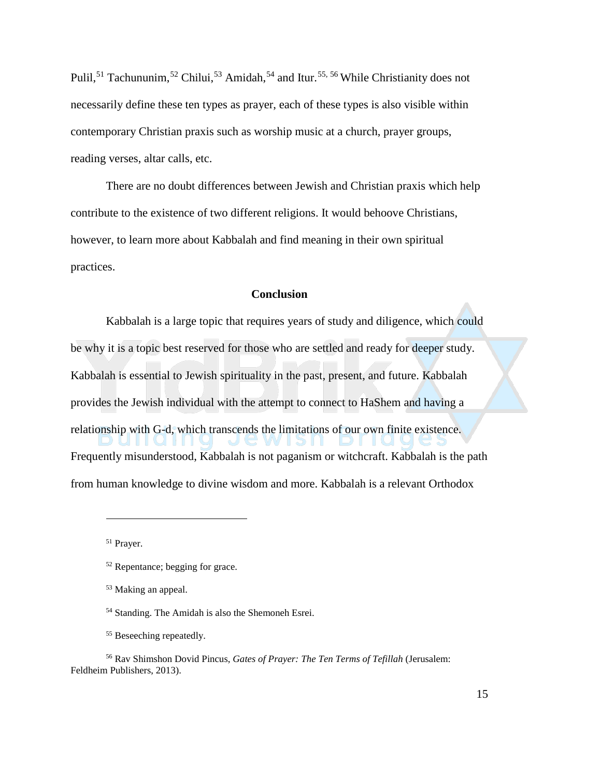Pulil,<sup>[51](#page-15-0)</sup> Tachununim,<sup>[52](#page-15-1)</sup> Chilui,<sup>[53](#page-15-2)</sup> Amidah,<sup>[54](#page-15-3)</sup> and Itur.<sup>[55](#page-15-4), [56](#page-15-5)</sup> While Christianity does not necessarily define these ten types as prayer, each of these types is also visible within contemporary Christian praxis such as worship music at a church, prayer groups, reading verses, altar calls, etc.

There are no doubt differences between Jewish and Christian praxis which help contribute to the existence of two different religions. It would behoove Christians, however, to learn more about Kabbalah and find meaning in their own spiritual practices.

#### **Conclusion**

Kabbalah is a large topic that requires years of study and diligence, which could be why it is a topic best reserved for those who are settled and ready for deeper study. Kabbalah is essential to Jewish spirituality in the past, present, and future. Kabbalah provides the Jewish individual with the attempt to connect to HaShem and having a relationship with G-d, which transcends the limitations of our own finite existence. Frequently misunderstood, Kabbalah is not paganism or witchcraft. Kabbalah is the path from human knowledge to divine wisdom and more. Kabbalah is a relevant Orthodox

<span id="page-15-0"></span><sup>51</sup> Prayer.

<span id="page-15-1"></span><sup>52</sup> Repentance; begging for grace.

<sup>53</sup> Making an appeal.

<sup>54</sup> Standing. The Amidah is also the Shemoneh Esrei.

<sup>&</sup>lt;sup>55</sup> Beseeching repeatedly.

<span id="page-15-5"></span><span id="page-15-4"></span><span id="page-15-3"></span><span id="page-15-2"></span><sup>56</sup> Rav Shimshon Dovid Pincus, *Gates of Prayer: The Ten Terms of Tefillah* (Jerusalem: Feldheim Publishers, 2013).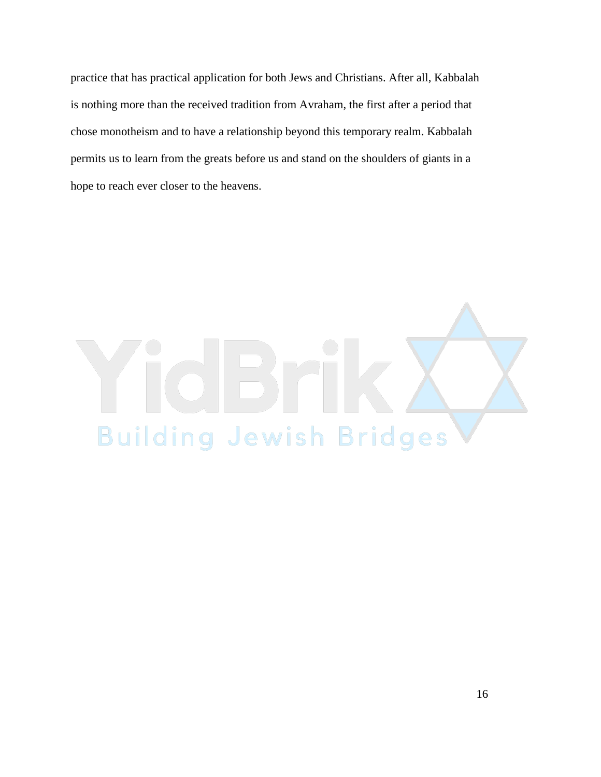practice that has practical application for both Jews and Christians. After all, Kabbalah is nothing more than the received tradition from Avraham, the first after a period that chose monotheism and to have a relationship beyond this temporary realm. Kabbalah permits us to learn from the greats before us and stand on the shoulders of giants in a hope to reach ever closer to the heavens.

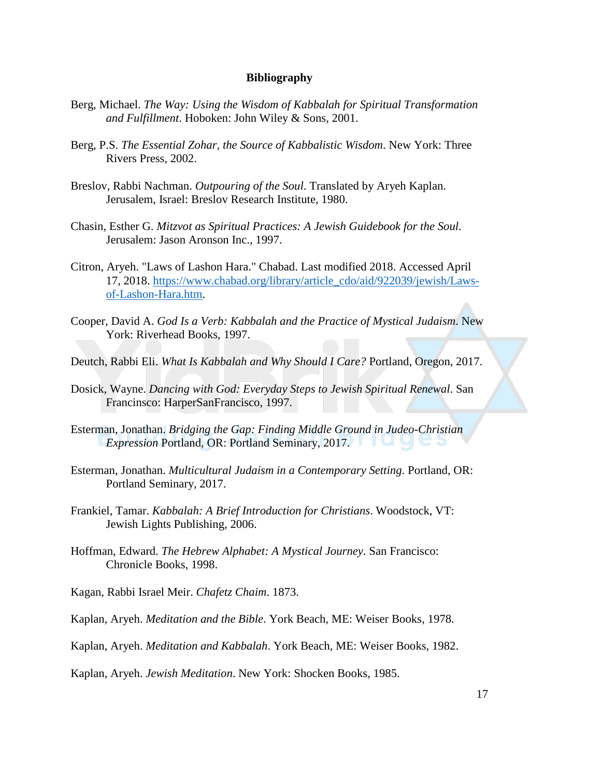#### **Bibliography**

- Berg, Michael. *The Way: Using the Wisdom of Kabbalah for Spiritual Transformation and Fulfillment*. Hoboken: John Wiley & Sons, 2001.
- Berg, P.S. *The Essential Zohar, the Source of Kabbalistic Wisdom*. New York: Three Rivers Press, 2002.
- Breslov, Rabbi Nachman. *Outpouring of the Soul*. Translated by Aryeh Kaplan. Jerusalem, Israel: Breslov Research Institute, 1980.
- Chasin, Esther G. *Mitzvot as Spiritual Practices: A Jewish Guidebook for the Soul*. Jerusalem: Jason Aronson Inc., 1997.
- Citron, Aryeh. "Laws of Lashon Hara." Chabad. Last modified 2018. Accessed April 17, 2018. [https://www.chabad.org/library/article\\_cdo/aid/922039/jewish/Laws](https://www.chabad.org/library/article_cdo/aid/922039/jewish/Laws-of-Lashon-Hara.htm)[of-Lashon-Hara.htm.](https://www.chabad.org/library/article_cdo/aid/922039/jewish/Laws-of-Lashon-Hara.htm)
- Cooper, David A. *God Is a Verb: Kabbalah and the Practice of Mystical Judaism*. New York: Riverhead Books, 1997.
- Deutch, Rabbi Eli. *What Is Kabbalah and Why Should I Care?* Portland, Oregon, 2017.
- Dosick, Wayne. *Dancing with God: Everyday Steps to Jewish Spiritual Renewal*. San Francinsco: HarperSanFrancisco, 1997.
- Esterman, Jonathan. *Bridging the Gap: Finding Middle Ground in Judeo-Christian Expression Portland, OR: Portland Seminary, 2017.*
- Esterman, Jonathan. *Multicultural Judaism in a Contemporary Setting*. Portland, OR: Portland Seminary, 2017.
- Frankiel, Tamar. *Kabbalah: A Brief Introduction for Christians*. Woodstock, VT: Jewish Lights Publishing, 2006.
- Hoffman, Edward. *The Hebrew Alphabet: A Mystical Journey*. San Francisco: Chronicle Books, 1998.
- Kagan, Rabbi Israel Meir. *Chafetz Chaim*. 1873.
- Kaplan, Aryeh. *Meditation and the Bible*. York Beach, ME: Weiser Books, 1978.
- Kaplan, Aryeh. *Meditation and Kabbalah*. York Beach, ME: Weiser Books, 1982.

Kaplan, Aryeh. *Jewish Meditation*. New York: Shocken Books, 1985.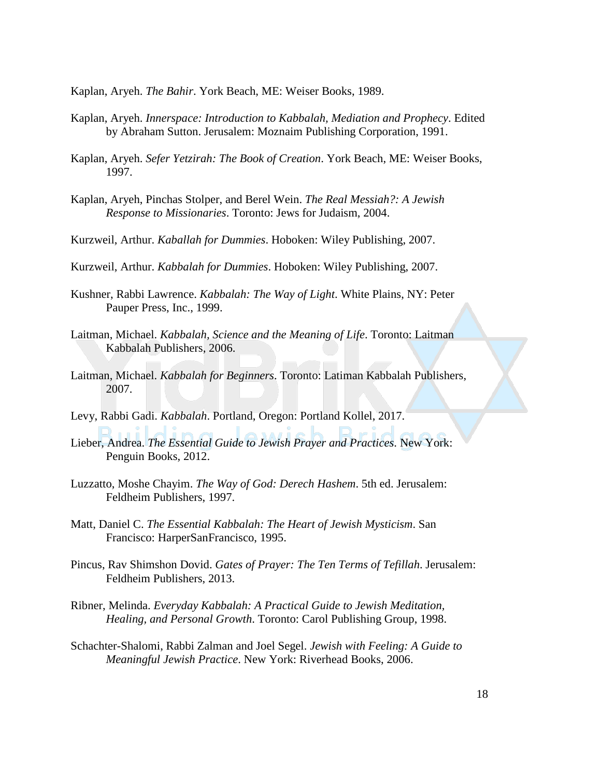Kaplan, Aryeh. *The Bahir*. York Beach, ME: Weiser Books, 1989.

- Kaplan, Aryeh. *Innerspace: Introduction to Kabbalah, Mediation and Prophecy*. Edited by Abraham Sutton. Jerusalem: Moznaim Publishing Corporation, 1991.
- Kaplan, Aryeh. *Sefer Yetzirah: The Book of Creation*. York Beach, ME: Weiser Books, 1997.
- Kaplan, Aryeh, Pinchas Stolper, and Berel Wein. *The Real Messiah?: A Jewish Response to Missionaries*. Toronto: Jews for Judaism, 2004.
- Kurzweil, Arthur. *Kaballah for Dummies*. Hoboken: Wiley Publishing, 2007.
- Kurzweil, Arthur. *Kabbalah for Dummies*. Hoboken: Wiley Publishing, 2007.
- Kushner, Rabbi Lawrence. *Kabbalah: The Way of Light*. White Plains, NY: Peter Pauper Press, Inc., 1999.
- Laitman, Michael. *Kabbalah, Science and the Meaning of Life*. Toronto: Laitman Kabbalah Publishers, 2006.
- Laitman, Michael. *Kabbalah for Beginners*. Toronto: Latiman Kabbalah Publishers, 2007.
- Levy, Rabbi Gadi. *Kabbalah*. Portland, Oregon: Portland Kollel, 2017.
- Lieber, Andrea. *The Essential Guide to Jewish Prayer and Practices*. New York: Penguin Books, 2012.
- Luzzatto, Moshe Chayim. *The Way of God: Derech Hashem*. 5th ed. Jerusalem: Feldheim Publishers, 1997.
- Matt, Daniel C. *The Essential Kabbalah: The Heart of Jewish Mysticism*. San Francisco: HarperSanFrancisco, 1995.
- Pincus, Rav Shimshon Dovid. *Gates of Prayer: The Ten Terms of Tefillah*. Jerusalem: Feldheim Publishers, 2013.
- Ribner, Melinda. *Everyday Kabbalah: A Practical Guide to Jewish Meditation, Healing, and Personal Growth*. Toronto: Carol Publishing Group, 1998.
- Schachter-Shalomi, Rabbi Zalman and Joel Segel. *Jewish with Feeling: A Guide to Meaningful Jewish Practice*. New York: Riverhead Books, 2006.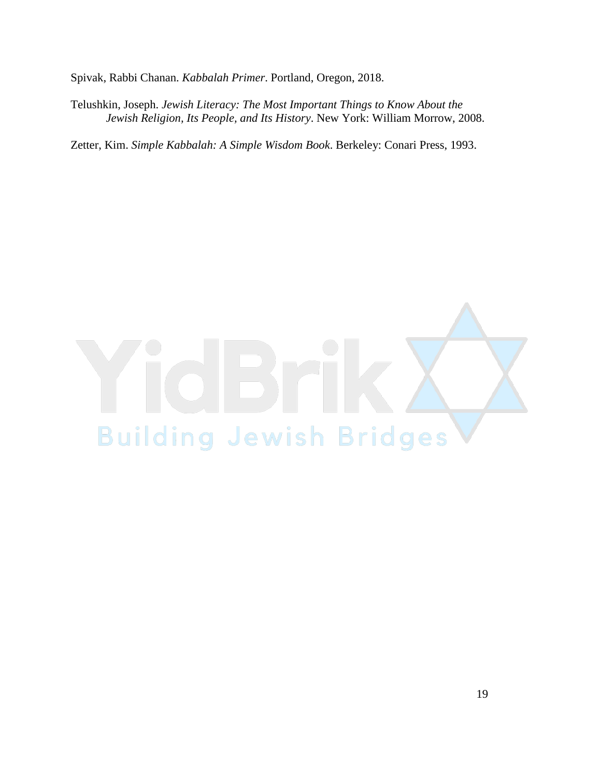Spivak, Rabbi Chanan. *Kabbalah Primer*. Portland, Oregon, 2018.

Telushkin, Joseph. *Jewish Literacy: The Most Important Things to Know About the Jewish Religion, Its People, and Its History*. New York: William Morrow, 2008.

Zetter, Kim. *Simple Kabbalah: A Simple Wisdom Book*. Berkeley: Conari Press, 1993.

# **Building Jewish Bridges**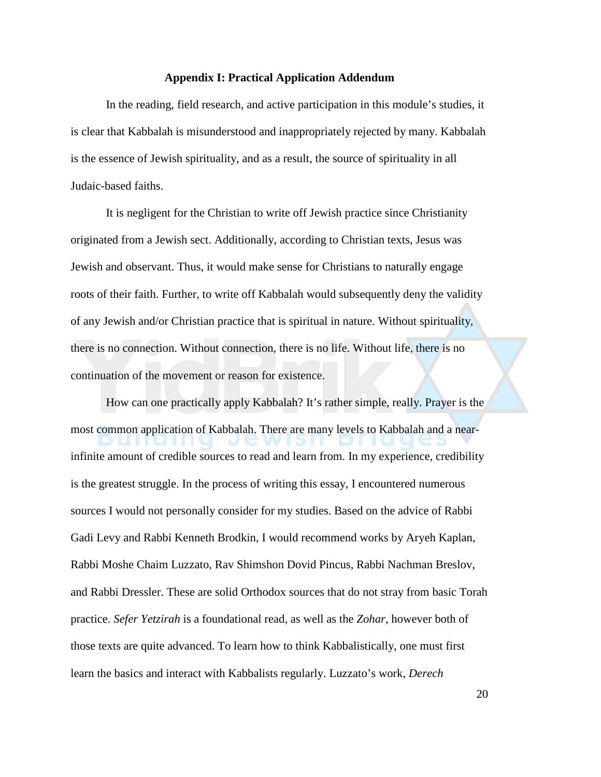#### **Appendix I: Practical Application Addendum**

In the reading, field research, and active participation in this module's studies, it is clear that Kabbalah is misunderstood and inappropriately rejected by many. Kabbalah is the essence of Jewish spirituality, and as a result, the source of spirituality in all Judaic-based faiths.

It is negligent for the Christian to write off Jewish practice since Christianity originated from a Jewish sect. Additionally, according to Christian texts, Jesus was Jewish and observant. Thus, it would make sense for Christians to naturally engage roots of their faith. Further, to write off Kabbalah would subsequently deny the validity of any Jewish and/or Christian practice that is spiritual in nature. Without spirituality, there is no connection. Without connection, there is no life. Without life, there is no continuation of the movement or reason for existence.

How can one practically apply Kabbalah? It's rather simple, really. Prayer is the most common application of Kabbalah. There are many levels to Kabbalah and a nearinfinite amount of credible sources to read and learn from. In my experience, credibility is the greatest struggle. In the process of writing this essay, I encountered numerous sources I would not personally consider for my studies. Based on the advice of Rabbi Gadi Levy and Rabbi Kenneth Brodkin, I would recommend works by Aryeh Kaplan, Rabbi Moshe Chaim Luzzato, Rav Shimshon Dovid Pincus, Rabbi Nachman Breslov, and Rabbi Dressler. These are solid Orthodox sources that do not stray from basic Torah practice. *Sefer Yetzirah* is a foundational read, as well as the *Zohar*, however both of those texts are quite advanced. To learn how to think Kabbalistically, one must first learn the basics and interact with Kabbalists regularly. Luzzato's work, *Derech* 

20